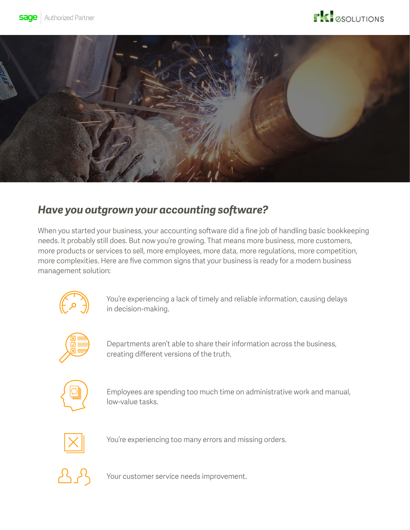



# *Have you outgrown your accounting software?*

When you started your business, your accounting software did a fine job of handling basic bookkeeping needs. It probably still does. But now you're growing. That means more business, more customers, more products or services to sell, more employees, more data, more regulations, more competition, more complexities. Here are five common signs that your business is ready for a modern business management solution:



You're experiencing a lack of timely and reliable information, causing delays in decision-making.



Departments aren't able to share their information across the business, creating different versions of the truth.



Employees are spending too much time on administrative work and manual, low-value tasks.



You're experiencing too many errors and missing orders.



Your customer service needs improvement.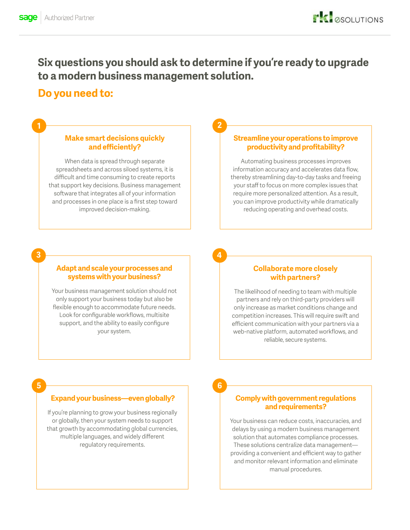**1**

**3**

**Six questions you should ask to determine if you're ready to upgrade to a modern business management solution.** 

**2**

**4**

**6**

## **Do you need to:**

### **Make smart decisions quickly and efficiently?**

When data is spread through separate spreadsheets and across siloed systems, it is difficult and time consuming to create reports that support key decisions. Business management software that integrates all of your information and processes in one place is a first step toward improved decision-making.

#### **Streamline your operations to improve productivity and profitability?**

Automating business processes improves information accuracy and accelerates data flow, thereby streamlining day-to-day tasks and freeing your staff to focus on more complex issues that require more personalized attention. As a result, you can improve productivity while dramatically reducing operating and overhead costs.

#### **Adapt and scale your processes and systems with your business?**

Your business management solution should not only support your business today but also be flexible enough to accommodate future needs. Look for configurable workflows, multisite support, and the ability to easily configure your system.

### **Collaborate more closely with partners?**

The likelihood of needing to team with multiple partners and rely on third-party providers will only increase as market conditions change and competition increases. This will require swift and efficient communication with your partners via a web-native platform, automated workflows, and reliable, secure systems.

## **5**

#### **Expand your business—even globally?**

If you're planning to grow your business regionally or globally, then your system needs to support that growth by accommodating global currencies, multiple languages, and widely different regulatory requirements.

### **Comply with government regulations and requirements?**

Your business can reduce costs, inaccuracies, and delays by using a modern business management solution that automates compliance processes. These solutions centralize data management providing a convenient and efficient way to gather and monitor relevant information and eliminate manual procedures.